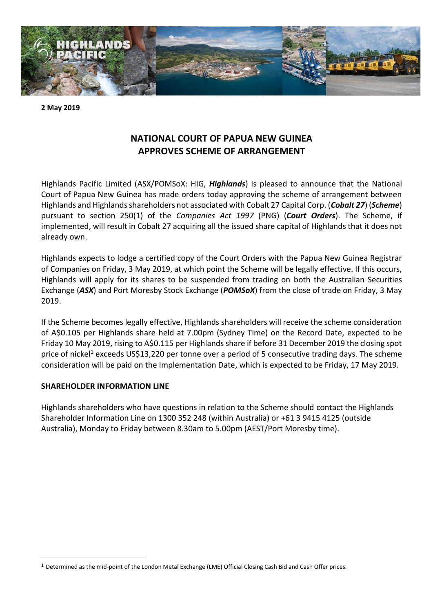

**2 May 2019**

# **NATIONAL COURT OF PAPUA NEW GUINEA APPROVES SCHEME OF ARRANGEMENT**

Highlands Pacific Limited (ASX/POMSoX: HIG, *Highlands*) is pleased to announce that the National Court of Papua New Guinea has made orders today approving the scheme of arrangement between Highlands and Highlands shareholders not associated with Cobalt 27 Capital Corp. (*Cobalt 27*) (*Scheme*) pursuant to section 250(1) of the *Companies Act 1997* (PNG) (*Court Orders*). The Scheme, if implemented, will result in Cobalt 27 acquiring all the issued share capital of Highlands that it does not already own.

Highlands expects to lodge a certified copy of the Court Orders with the Papua New Guinea Registrar of Companies on Friday, 3 May 2019, at which point the Scheme will be legally effective. If this occurs, Highlands will apply for its shares to be suspended from trading on both the Australian Securities Exchange (*ASX*) and Port Moresby Stock Exchange (*POMSoX*) from the close of trade on Friday, 3 May 2019.

If the Scheme becomes legally effective, Highlands shareholders will receive the scheme consideration of A\$0.105 per Highlands share held at 7.00pm (Sydney Time) on the Record Date, expected to be Friday 10 May 2019, rising to A\$0.115 per Highlands share if before 31 December 2019 the closing spot price of nickel<sup>1</sup> exceeds US\$13,220 per tonne over a period of 5 consecutive trading days. The scheme consideration will be paid on the Implementation Date, which is expected to be Friday, 17 May 2019.

# **SHAREHOLDER INFORMATION LINE**

1

Highlands shareholders who have questions in relation to the Scheme should contact the Highlands Shareholder Information Line on 1300 352 248 (within Australia) or +61 3 9415 4125 (outside Australia), Monday to Friday between 8.30am to 5.00pm (AEST/Port Moresby time).

<sup>1</sup> Determined as the mid-point of the London Metal Exchange (LME) Official Closing Cash Bid and Cash Offer prices.